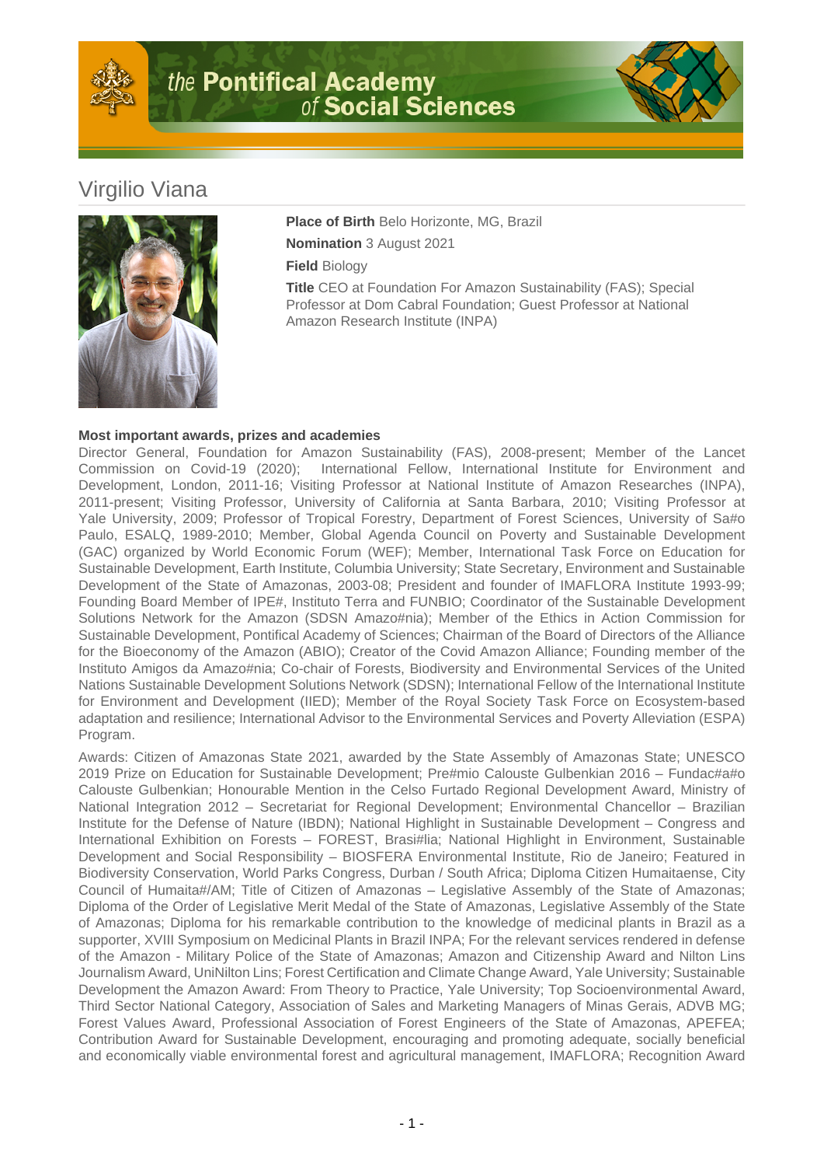



## Virgilio Viana



**Place of Birth** Belo Horizonte, MG, Brazil **Nomination** 3 August 2021

**Field** Biology

**Title** CEO at Foundation For Amazon Sustainability (FAS); Special Professor at Dom Cabral Foundation; Guest Professor at National Amazon Research Institute (INPA)

## **Most important awards, prizes and academies**

Director General, Foundation for Amazon Sustainability (FAS), 2008-present; Member of the Lancet Commission on Covid-19 (2020); International Fellow, International Institute for Environment and Development, London, 2011-16; Visiting Professor at National Institute of Amazon Researches (INPA), 2011-present; Visiting Professor, University of California at Santa Barbara, 2010; Visiting Professor at Yale University, 2009; Professor of Tropical Forestry, Department of Forest Sciences, University of Sa#o Paulo, ESALQ, 1989-2010; Member, Global Agenda Council on Poverty and Sustainable Development (GAC) organized by World Economic Forum (WEF); Member, International Task Force on Education for Sustainable Development, Earth Institute, Columbia University; State Secretary, Environment and Sustainable Development of the State of Amazonas, 2003-08; President and founder of IMAFLORA Institute 1993-99; Founding Board Member of IPE#, Instituto Terra and FUNBIO; Coordinator of the Sustainable Development Solutions Network for the Amazon (SDSN Amazo#nia); Member of the Ethics in Action Commission for Sustainable Development, Pontifical Academy of Sciences; Chairman of the Board of Directors of the Alliance for the Bioeconomy of the Amazon (ABIO); Creator of the Covid Amazon Alliance; Founding member of the Instituto Amigos da Amazo#nia; Co-chair of Forests, Biodiversity and Environmental Services of the United Nations Sustainable Development Solutions Network (SDSN); International Fellow of the International Institute for Environment and Development (IIED); Member of the Royal Society Task Force on Ecosystem-based adaptation and resilience; International Advisor to the Environmental Services and Poverty Alleviation (ESPA) Program.

Awards: Citizen of Amazonas State 2021, awarded by the State Assembly of Amazonas State; UNESCO 2019 Prize on Education for Sustainable Development; Pre#mio Calouste Gulbenkian 2016 – Fundac#a#o Calouste Gulbenkian; Honourable Mention in the Celso Furtado Regional Development Award, Ministry of National Integration 2012 – Secretariat for Regional Development; Environmental Chancellor – Brazilian Institute for the Defense of Nature (IBDN); National Highlight in Sustainable Development – Congress and International Exhibition on Forests – FOREST, Brasi#lia; National Highlight in Environment, Sustainable Development and Social Responsibility – BIOSFERA Environmental Institute, Rio de Janeiro; Featured in Biodiversity Conservation, World Parks Congress, Durban / South Africa; Diploma Citizen Humaitaense, City Council of Humaita#/AM; Title of Citizen of Amazonas – Legislative Assembly of the State of Amazonas; Diploma of the Order of Legislative Merit Medal of the State of Amazonas, Legislative Assembly of the State of Amazonas; Diploma for his remarkable contribution to the knowledge of medicinal plants in Brazil as a supporter, XVIII Symposium on Medicinal Plants in Brazil INPA; For the relevant services rendered in defense of the Amazon - Military Police of the State of Amazonas; Amazon and Citizenship Award and Nilton Lins Journalism Award, UniNilton Lins; Forest Certification and Climate Change Award, Yale University; Sustainable Development the Amazon Award: From Theory to Practice, Yale University; Top Socioenvironmental Award, Third Sector National Category, Association of Sales and Marketing Managers of Minas Gerais, ADVB MG; Forest Values Award, Professional Association of Forest Engineers of the State of Amazonas, APEFEA; Contribution Award for Sustainable Development, encouraging and promoting adequate, socially beneficial and economically viable environmental forest and agricultural management, IMAFLORA; Recognition Award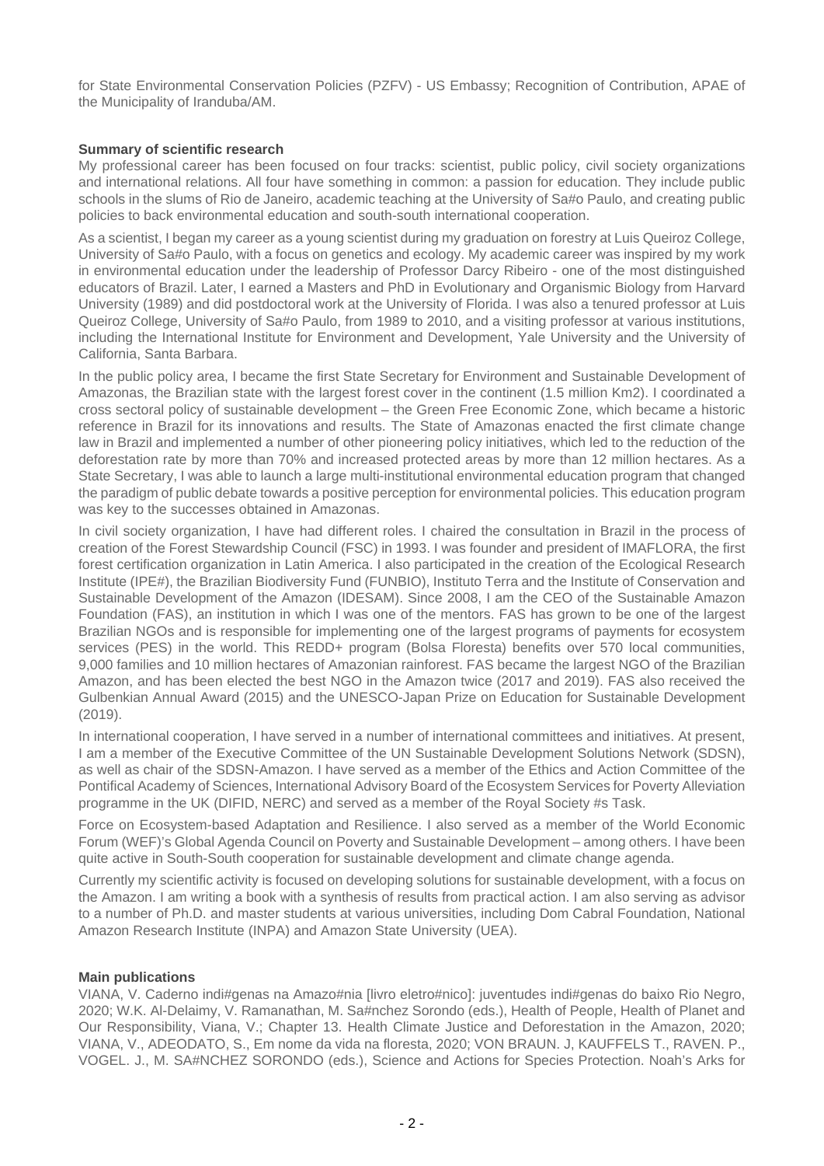for State Environmental Conservation Policies (PZFV) - US Embassy; Recognition of Contribution, APAE of the Municipality of Iranduba/AM.

## **Summary of scientific research**

My professional career has been focused on four tracks: scientist, public policy, civil society organizations and international relations. All four have something in common: a passion for education. They include public schools in the slums of Rio de Janeiro, academic teaching at the University of Sa#o Paulo, and creating public policies to back environmental education and south-south international cooperation.

As a scientist, I began my career as a young scientist during my graduation on forestry at Luis Queiroz College, University of Sa#o Paulo, with a focus on genetics and ecology. My academic career was inspired by my work in environmental education under the leadership of Professor Darcy Ribeiro - one of the most distinguished educators of Brazil. Later, I earned a Masters and PhD in Evolutionary and Organismic Biology from Harvard University (1989) and did postdoctoral work at the University of Florida. I was also a tenured professor at Luis Queiroz College, University of Sa#o Paulo, from 1989 to 2010, and a visiting professor at various institutions, including the International Institute for Environment and Development, Yale University and the University of California, Santa Barbara.

In the public policy area, I became the first State Secretary for Environment and Sustainable Development of Amazonas, the Brazilian state with the largest forest cover in the continent (1.5 million Km2). I coordinated a cross sectoral policy of sustainable development – the Green Free Economic Zone, which became a historic reference in Brazil for its innovations and results. The State of Amazonas enacted the first climate change law in Brazil and implemented a number of other pioneering policy initiatives, which led to the reduction of the deforestation rate by more than 70% and increased protected areas by more than 12 million hectares. As a State Secretary, I was able to launch a large multi-institutional environmental education program that changed the paradigm of public debate towards a positive perception for environmental policies. This education program was key to the successes obtained in Amazonas.

In civil society organization, I have had different roles. I chaired the consultation in Brazil in the process of creation of the Forest Stewardship Council (FSC) in 1993. I was founder and president of IMAFLORA, the first forest certification organization in Latin America. I also participated in the creation of the Ecological Research Institute (IPE#), the Brazilian Biodiversity Fund (FUNBIO), Instituto Terra and the Institute of Conservation and Sustainable Development of the Amazon (IDESAM). Since 2008, I am the CEO of the Sustainable Amazon Foundation (FAS), an institution in which I was one of the mentors. FAS has grown to be one of the largest Brazilian NGOs and is responsible for implementing one of the largest programs of payments for ecosystem services (PES) in the world. This REDD+ program (Bolsa Floresta) benefits over 570 local communities, 9,000 families and 10 million hectares of Amazonian rainforest. FAS became the largest NGO of the Brazilian Amazon, and has been elected the best NGO in the Amazon twice (2017 and 2019). FAS also received the Gulbenkian Annual Award (2015) and the UNESCO-Japan Prize on Education for Sustainable Development (2019).

In international cooperation, I have served in a number of international committees and initiatives. At present, I am a member of the Executive Committee of the UN Sustainable Development Solutions Network (SDSN), as well as chair of the SDSN-Amazon. I have served as a member of the Ethics and Action Committee of the Pontifical Academy of Sciences, International Advisory Board of the Ecosystem Services for Poverty Alleviation programme in the UK (DIFID, NERC) and served as a member of the Royal Society #s Task.

Force on Ecosystem-based Adaptation and Resilience. I also served as a member of the World Economic Forum (WEF)'s Global Agenda Council on Poverty and Sustainable Development – among others. I have been quite active in South-South cooperation for sustainable development and climate change agenda.

Currently my scientific activity is focused on developing solutions for sustainable development, with a focus on the Amazon. I am writing a book with a synthesis of results from practical action. I am also serving as advisor to a number of Ph.D. and master students at various universities, including Dom Cabral Foundation, National Amazon Research Institute (INPA) and Amazon State University (UEA).

## **Main publications**

VIANA, V. Caderno indi#genas na Amazo#nia [livro eletro#nico]: juventudes indi#genas do baixo Rio Negro, 2020; W.K. Al-Delaimy, V. Ramanathan, M. Sa#nchez Sorondo (eds.), Health of People, Health of Planet and Our Responsibility, Viana, V.; Chapter 13. Health Climate Justice and Deforestation in the Amazon, 2020; VIANA, V., ADEODATO, S., Em nome da vida na floresta, 2020; VON BRAUN. J, KAUFFELS T., RAVEN. P., VOGEL. J., M. SA#NCHEZ SORONDO (eds.), Science and Actions for Species Protection. Noah's Arks for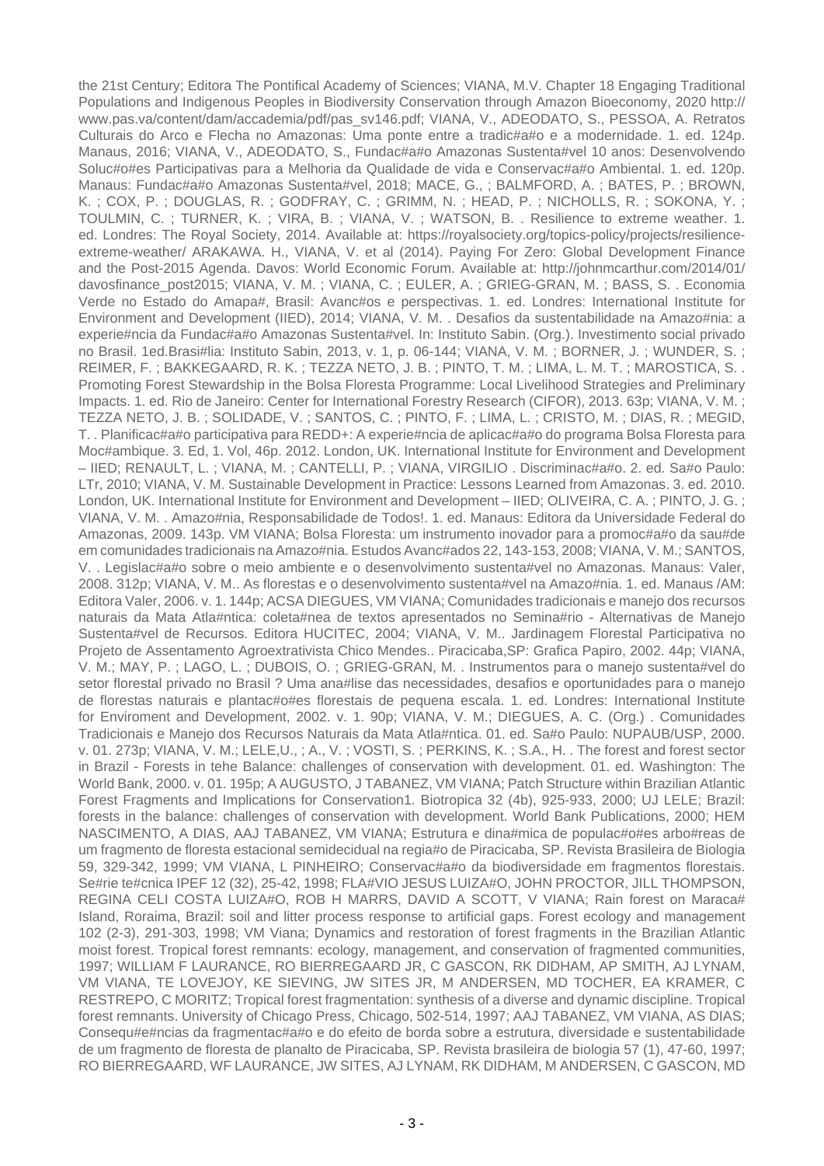the 21st Century; Editora The Pontifical Academy of Sciences; VIANA, M.V. Chapter 18 Engaging Traditional Populations and Indigenous Peoples in Biodiversity Conservation through Amazon Bioeconomy, 2020 http:// www.pas.va/content/dam/accademia/pdf/pas\_sv146.pdf; VIANA, V., ADEODATO, S., PESSOA, A. Retratos Culturais do Arco e Flecha no Amazonas: Uma ponte entre a tradic#a#o e a modernidade. 1. ed. 124p. Manaus, 2016; VIANA, V., ADEODATO, S., Fundac#a#o Amazonas Sustenta#vel 10 anos: Desenvolvendo Soluc#o#es Participativas para a Melhoria da Qualidade de vida e Conservac#a#o Ambiental. 1. ed. 120p. Manaus: Fundac#a#o Amazonas Sustenta#vel, 2018; MACE, G., ; BALMFORD, A. ; BATES, P. ; BROWN, K. ; COX, P. ; DOUGLAS, R. ; GODFRAY, C. ; GRIMM, N. ; HEAD, P. ; NICHOLLS, R. ; SOKONA, Y. ; TOULMIN, C. ; TURNER, K. ; VIRA, B. ; VIANA, V. ; WATSON, B. . Resilience to extreme weather. 1. ed. Londres: The Royal Society, 2014. Available at: https://royalsociety.org/topics-policy/projects/resilienceextreme-weather/ ARAKAWA. H., VIANA, V. et al (2014). Paying For Zero: Global Development Finance and the Post-2015 Agenda. Davos: World Economic Forum. Available at: http://johnmcarthur.com/2014/01/ davosfinance\_post2015; VIANA, V. M. ; VIANA, C. ; EULER, A. ; GRIEG-GRAN, M. ; BASS, S. . Economia Verde no Estado do Amapa#, Brasil: Avanc#os e perspectivas. 1. ed. Londres: International Institute for Environment and Development (IIED), 2014; VIANA, V. M. . Desafios da sustentabilidade na Amazo#nia: a experie#ncia da Fundac#a#o Amazonas Sustenta#vel. In: Instituto Sabin. (Org.). Investimento social privado no Brasil. 1ed.Brasi#lia: Instituto Sabin, 2013, v. 1, p. 06-144; VIANA, V. M. ; BORNER, J. ; WUNDER, S. ; REIMER, F. ; BAKKEGAARD, R. K. ; TEZZA NETO, J. B. ; PINTO, T. M. ; LIMA, L. M. T. ; MAROSTICA, S. . Promoting Forest Stewardship in the Bolsa Floresta Programme: Local Livelihood Strategies and Preliminary Impacts. 1. ed. Rio de Janeiro: Center for International Forestry Research (CIFOR), 2013. 63p; VIANA, V. M. ; TEZZA NETO, J. B. ; SOLIDADE, V. ; SANTOS, C. ; PINTO, F. ; LIMA, L. ; CRISTO, M. ; DIAS, R. ; MEGID, T. . Planificac#a#o participativa para REDD+: A experie#ncia de aplicac#a#o do programa Bolsa Floresta para Moc#ambique. 3. Ed, 1. Vol, 46p. 2012. London, UK. International Institute for Environment and Development – IIED; RENAULT, L. ; VIANA, M. ; CANTELLI, P. ; VIANA, VIRGILIO . Discriminac#a#o. 2. ed. Sa#o Paulo: LTr, 2010; VIANA, V. M. Sustainable Development in Practice: Lessons Learned from Amazonas. 3. ed. 2010. London, UK. International Institute for Environment and Development – IIED; OLIVEIRA, C. A. ; PINTO, J. G. ; VIANA, V. M. . Amazo#nia, Responsabilidade de Todos!. 1. ed. Manaus: Editora da Universidade Federal do Amazonas, 2009. 143p. VM VIANA; Bolsa Floresta: um instrumento inovador para a promoc#a#o da sau#de em comunidades tradicionais na Amazo#nia. Estudos Avanc#ados 22, 143-153, 2008; VIANA, V. M.; SANTOS, V. . Legislac#a#o sobre o meio ambiente e o desenvolvimento sustenta#vel no Amazonas. Manaus: Valer, 2008. 312p; VIANA, V. M.. As florestas e o desenvolvimento sustenta#vel na Amazo#nia. 1. ed. Manaus /AM: Editora Valer, 2006. v. 1. 144p; ACSA DIEGUES, VM VIANA; Comunidades tradicionais e manejo dos recursos naturais da Mata Atla#ntica: coleta#nea de textos apresentados no Semina#rio - Alternativas de Manejo Sustenta#vel de Recursos. Editora HUCITEC, 2004; VIANA, V. M.. Jardinagem Florestal Participativa no Projeto de Assentamento Agroextrativista Chico Mendes.. Piracicaba,SP: Grafica Papiro, 2002. 44p; VIANA, V. M.; MAY, P. ; LAGO, L. ; DUBOIS, O. ; GRIEG-GRAN, M. . Instrumentos para o manejo sustenta#vel do setor florestal privado no Brasil ? Uma ana#lise das necessidades, desafios e oportunidades para o manejo de florestas naturais e plantac#o#es florestais de pequena escala. 1. ed. Londres: International Institute for Enviroment and Development, 2002. v. 1. 90p; VIANA, V. M.; DIEGUES, A. C. (Org.) . Comunidades Tradicionais e Manejo dos Recursos Naturais da Mata Atla#ntica. 01. ed. Sa#o Paulo: NUPAUB/USP, 2000. v. 01. 273p; VIANA, V. M.; LELE,U., ; A., V. ; VOSTI, S. ; PERKINS, K. ; S.A., H. . The forest and forest sector in Brazil - Forests in tehe Balance: challenges of conservation with development. 01. ed. Washington: The World Bank, 2000. v. 01. 195p; A AUGUSTO, J TABANEZ, VM VIANA; Patch Structure within Brazilian Atlantic Forest Fragments and Implications for Conservation1. Biotropica 32 (4b), 925-933, 2000; UJ LELE; Brazil: forests in the balance: challenges of conservation with development. World Bank Publications, 2000; HEM NASCIMENTO, A DIAS, AAJ TABANEZ, VM VIANA; Estrutura e dina#mica de populac#o#es arbo#reas de um fragmento de floresta estacional semidecidual na regia#o de Piracicaba, SP. Revista Brasileira de Biologia 59, 329-342, 1999; VM VIANA, L PINHEIRO; Conservac#a#o da biodiversidade em fragmentos florestais. Se#rie te#cnica IPEF 12 (32), 25-42, 1998; FLA#VIO JESUS LUIZA#O, JOHN PROCTOR, JILL THOMPSON, REGINA CELI COSTA LUIZA#O, ROB H MARRS, DAVID A SCOTT, V VIANA; Rain forest on Maraca# Island, Roraima, Brazil: soil and litter process response to artificial gaps. Forest ecology and management 102 (2-3), 291-303, 1998; VM Viana; Dynamics and restoration of forest fragments in the Brazilian Atlantic moist forest. Tropical forest remnants: ecology, management, and conservation of fragmented communities, 1997; WILLIAM F LAURANCE, RO BIERREGAARD JR, C GASCON, RK DIDHAM, AP SMITH, AJ LYNAM, VM VIANA, TE LOVEJOY, KE SIEVING, JW SITES JR, M ANDERSEN, MD TOCHER, EA KRAMER, C RESTREPO, C MORITZ; Tropical forest fragmentation: synthesis of a diverse and dynamic discipline. Tropical forest remnants. University of Chicago Press, Chicago, 502-514, 1997; AAJ TABANEZ, VM VIANA, AS DIAS; Consequ#e#ncias da fragmentac#a#o e do efeito de borda sobre a estrutura, diversidade e sustentabilidade de um fragmento de floresta de planalto de Piracicaba, SP. Revista brasileira de biologia 57 (1), 47-60, 1997; RO BIERREGAARD, WF LAURANCE, JW SITES, AJ LYNAM, RK DIDHAM, M ANDERSEN, C GASCON, MD